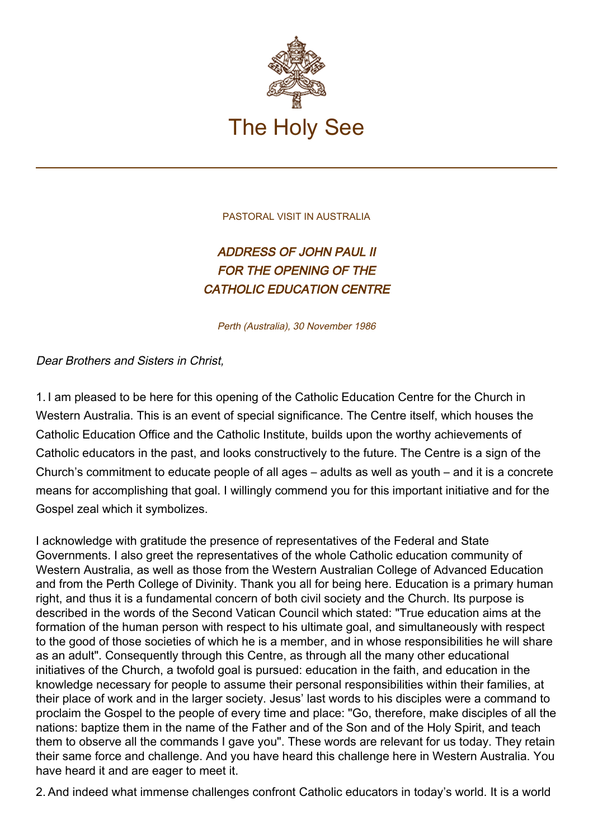

PASTORAL VISIT IN AUSTRALIA

## ADDRESS OF JOHN PAUL II FOR THE OPENING OF THE CATHOLIC EDUCATION CENTRE

Perth (Australia), 30 November 1986

Dear Brothers and Sisters in Christ,

1. I am pleased to be here for this opening of the Catholic Education Centre for the Church in Western Australia. This is an event of special significance. The Centre itself, which houses the Catholic Education Office and the Catholic Institute, builds upon the worthy achievements of Catholic educators in the past, and looks constructively to the future. The Centre is a sign of the Church's commitment to educate people of all ages – adults as well as youth – and it is a concrete means for accomplishing that goal. I willingly commend you for this important initiative and for the Gospel zeal which it symbolizes.

I acknowledge with gratitude the presence of representatives of the Federal and State Governments. I also greet the representatives of the whole Catholic education community of Western Australia, as well as those from the Western Australian College of Advanced Education and from the Perth College of Divinity. Thank you all for being here. Education is a primary human right, and thus it is a fundamental concern of both civil society and the Church. Its purpose is described in the words of the Second Vatican Council which stated: "True education aims at the formation of the human person with respect to his ultimate goal, and simultaneously with respect to the good of those societies of which he is a member, and in whose responsibilities he will share as an adult". Consequently through this Centre, as through all the many other educational initiatives of the Church, a twofold goal is pursued: education in the faith, and education in the knowledge necessary for people to assume their personal responsibilities within their families, at their place of work and in the larger society. Jesus' last words to his disciples were a command to proclaim the Gospel to the people of every time and place: "Go, therefore, make disciples of all the nations: baptize them in the name of the Father and of the Son and of the Holy Spirit, and teach them to observe all the commands I gave you". These words are relevant for us today. They retain their same force and challenge. And you have heard this challenge here in Western Australia. You have heard it and are eager to meet it.

2. And indeed what immense challenges confront Catholic educators in today's world. It is a world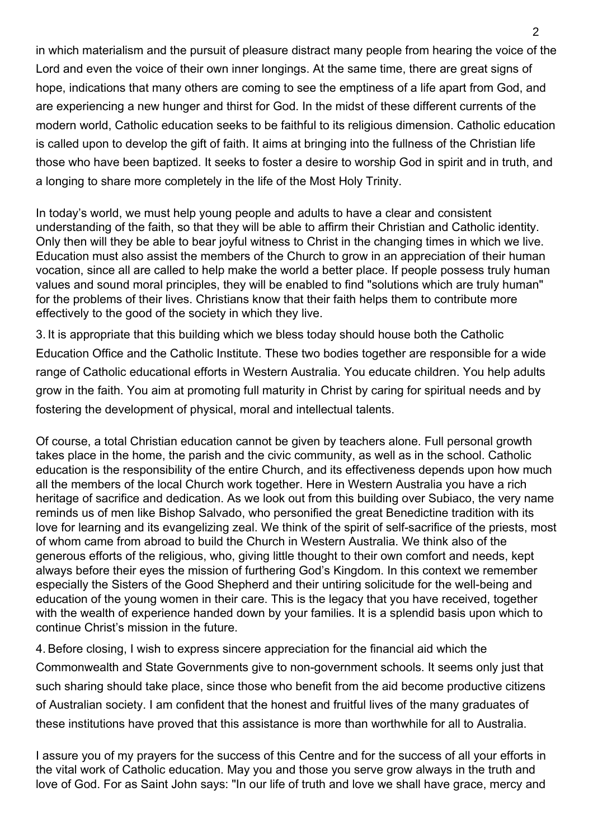in which materialism and the pursuit of pleasure distract many people from hearing the voice of the Lord and even the voice of their own inner longings. At the same time, there are great signs of hope, indications that many others are coming to see the emptiness of a life apart from God, and are experiencing a new hunger and thirst for God. In the midst of these different currents of the modern world, Catholic education seeks to be faithful to its religious dimension. Catholic education is called upon to develop the gift of faith. It aims at bringing into the fullness of the Christian life those who have been baptized. It seeks to foster a desire to worship God in spirit and in truth, and a longing to share more completely in the life of the Most Holy Trinity.

In today's world, we must help young people and adults to have a clear and consistent understanding of the faith, so that they will be able to affirm their Christian and Catholic identity. Only then will they be able to bear joyful witness to Christ in the changing times in which we live. Education must also assist the members of the Church to grow in an appreciation of their human vocation, since all are called to help make the world a better place. If people possess truly human values and sound moral principles, they will be enabled to find "solutions which are truly human" for the problems of their lives. Christians know that their faith helps them to contribute more effectively to the good of the society in which they live.

3. It is appropriate that this building which we bless today should house both the Catholic Education Office and the Catholic Institute. These two bodies together are responsible for a wide range of Catholic educational efforts in Western Australia. You educate children. You help adults grow in the faith. You aim at promoting full maturity in Christ by caring for spiritual needs and by fostering the development of physical, moral and intellectual talents.

Of course, a total Christian education cannot be given by teachers alone. Full personal growth takes place in the home, the parish and the civic community, as well as in the school. Catholic education is the responsibility of the entire Church, and its effectiveness depends upon how much all the members of the local Church work together. Here in Western Australia you have a rich heritage of sacrifice and dedication. As we look out from this building over Subiaco, the very name reminds us of men like Bishop Salvado, who personified the great Benedictine tradition with its love for learning and its evangelizing zeal. We think of the spirit of self-sacrifice of the priests, most of whom came from abroad to build the Church in Western Australia. We think also of the generous efforts of the religious, who, giving little thought to their own comfort and needs, kept always before their eyes the mission of furthering God's Kingdom. In this context we remember especially the Sisters of the Good Shepherd and their untiring solicitude for the well-being and education of the young women in their care. This is the legacy that you have received, together with the wealth of experience handed down by your families. It is a splendid basis upon which to continue Christ's mission in the future.

4. Before closing, I wish to express sincere appreciation for the financial aid which the Commonwealth and State Governments give to non-government schools. It seems only just that such sharing should take place, since those who benefit from the aid become productive citizens of Australian society. I am confident that the honest and fruitful lives of the many graduates of these institutions have proved that this assistance is more than worthwhile for all to Australia.

I assure you of my prayers for the success of this Centre and for the success of all your efforts in the vital work of Catholic education. May you and those you serve grow always in the truth and love of God. For as Saint John says: "In our life of truth and love we shall have grace, mercy and